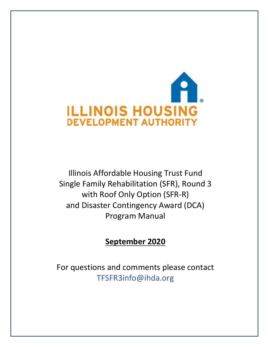

Illinois Affordable Housing Trust Fund Single Family Rehabilitation (SFR), Round 3 with Roof Only Option (SFR-R) and Disaster Contingency Award (DCA) Program Manual

# **September 2020**

For questions and comments please contact TFSFR3info@ihda.org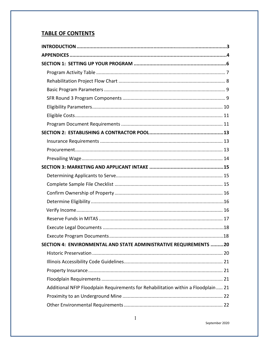# **TABLE OF CONTENTS**

| SECTION 4: ENVIRONMENTAL AND STATE ADMINISTRATIVE REQUIREMENTS 20                 |
|-----------------------------------------------------------------------------------|
|                                                                                   |
|                                                                                   |
|                                                                                   |
|                                                                                   |
| Additional NFIP Floodplain Requirements for Rehabilitation within a Floodplain 21 |
|                                                                                   |
|                                                                                   |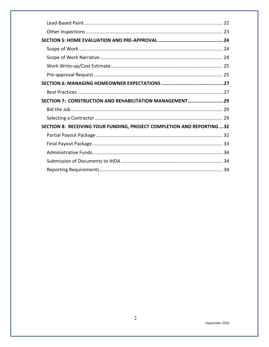| SECTION 7: CONSTRUCTION AND REHABILITATION MANAGEMENT29               |  |
|-----------------------------------------------------------------------|--|
|                                                                       |  |
|                                                                       |  |
| SECTION 8: RECEIVING YOUR FUNDING, PROJECT COMPLETION AND REPORTING32 |  |
|                                                                       |  |
|                                                                       |  |
|                                                                       |  |
|                                                                       |  |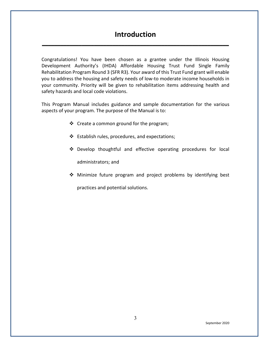# **Introduction**

<span id="page-3-0"></span>**\_\_\_\_\_\_\_\_\_\_\_\_\_\_\_\_\_\_\_\_\_\_\_\_\_\_\_\_\_\_\_\_\_\_\_\_\_\_\_\_\_\_\_\_\_\_\_\_\_\_\_\_\_\_\_\_\_\_\_\_\_**

Congratulations! You have been chosen as a grantee under the Illinois Housing Development Authority's (IHDA) Affordable Housing Trust Fund Single Family Rehabilitation Program Round 3 (SFR R3). Your award of this Trust Fund grant will enable you to address the housing and safety needs of low-to moderate income households in your community. Priority will be given to rehabilitation items addressing health and safety hazards and local code violations.

This Program Manual includes guidance and sample documentation for the various aspects of your program. The purpose of the Manual is to:

- Create a common ground for the program;
- Establish rules, procedures, and expectations;
- Develop thoughtful and effective operating procedures for local

administrators; and

Minimize future program and project problems by identifying best

practices and potential solutions.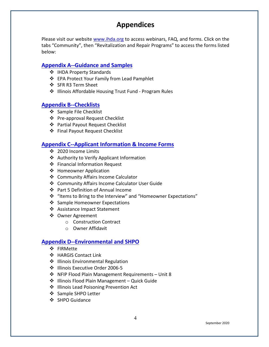# **Appendices**

<span id="page-4-0"></span>Please visit our website [www.ihda.org](https://www.ihda.org/my-community/revitalization-programs/) to access webinars, FAQ, and forms. Click on the tabs "Community", then "Revitalization and Repair Programs" to access the forms listed below:

## **[Appendix A--Guidance and Samples](https://df7qosnywqs6g.cloudfront.net/wp-content/uploads/2020/07/Appendix-A-Guidance-and-Samples.zip)**

- ❖ IHDA Property Standards
- ❖ EPA Protect Your Family from Lead Pamphlet
- ❖ SFR R3 Term Sheet
- ❖ Illinois Affordable Housing Trust Fund Program Rules

# **[Appendix B--Checklists](https://df7qosnywqs6g.cloudfront.net/wp-content/uploads/2021/06/Appendix-B-Checklists-2.zip)**

- ❖ Sample File Checklist
- ❖ Pre-approval Request Checklist
- Partial Payout Request Checklist
- Final Payout Request Checklist

# **[Appendix C--Applicant Information & Income Forms](https://df7qosnywqs6g.cloudfront.net/wp-content/uploads/2021/05/Appendix-C-Applicant-Info-and-Forms-1.zip)**

- ❖ 2020 Income Limits
- Authority to Verify Applicant Information
- Financial Information Request
- ❖ Homeowner Application
- ❖ Community Affairs Income Calculator
- Community Affairs Income Calculator User Guide
- ❖ Part 5 Definition of Annual Income
- "Items to Bring to the Interview" and "Homeowner Expectations"
- ❖ Sample Homeowner Expectations
- Assistance Impact Statement
- ❖ Owner Agreement
	- o Construction Contract
	- o Owner Affidavit

# **[Appendix D--Environmental and SHPO](https://df7qosnywqs6g.cloudfront.net/wp-content/uploads/2020/09/Appendix-D-Environmental-and-SHPO.zip)**

- ❖ FIRMette
- HARGIS Contact Link
- ❖ Illinois Environmental Regulation
- ❖ Illinois Executive Order 2006-5
- NFIP Flood Plain Management Requirements Unit 8
- $\cdot$  Illinois Flood Plain Management Quick Guide
- ❖ Illinois Lead Poisoning Prevention Act
- ❖ Sample SHPO Letter
- ❖ SHPO Guidance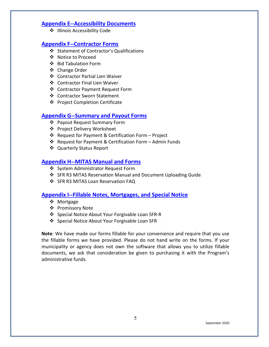### **[Appendix E--Accessibility Documents](https://df7qosnywqs6g.cloudfront.net/wp-content/uploads/2020/07/Appendix-E-Accessibility-Documents.zip)**

 $\div$  Illinois Accessibility Code

# **[Appendix F--Contractor Forms](https://df7qosnywqs6g.cloudfront.net/wp-content/uploads/2022/02/Appendix-F-Contractor-Forms-SFR-Round-3.zip)**

- Statement of Contractor's Qualifications
- Notice to Proceed
- ❖ Bid Tabulation Form
- Change Order
- Contractor Partial Lien Waiver
- Contractor Final Lien Waiver
- Contractor Payment Request Form
- Contractor Sworn Statement
- ❖ Project Completion Certificate

# **[Appendix G--Summary and Payout Forms](https://df7qosnywqs6g.cloudfront.net/wp-content/uploads/2021/03/Appendix-G-Summary-and-Payout-Forms-2.zip)**

- Payout Request Summary Form
- Project Delivery Worksheet
- Request for Payment & Certification Form Project
- $\cdot$  Request for Payment & Certification Form Admin Funds
- Quarterly Status Report

# **[Appendix H--MITAS Manual and Forms](https://df7qosnywqs6g.cloudfront.net/wp-content/uploads/2021/04/Appendix-H-MITAS-Manual-and-Forms.zip)**

- ❖ System Administrator Request Form
- ❖ SFR R3 MITAS Reservation Manual and Document Uploading Guide
- ❖ SFR R3 MITAS Loan Reservation FAQ

## **[Appendix I--Fillable Notes, Mortgages, and Special Notice](https://df7qosnywqs6g.cloudfront.net/wp-content/uploads/2020/07/Appendix-I-Fillable-Note-Mortgage-and-Special-Notice.zip)**

- ❖ Mortgage
- ❖ Promissory Note
- ❖ Special Notice About Your Forgivable Loan SFR-R
- ❖ Special Notice About Your Forgivable Loan SFR

**Note**: We have made our forms fillable for your convenience and require that you use the fillable forms we have provided. Please do not hand write on the forms. If your municipality or agency does not own the software that allows you to utilize fillable documents, we ask that consideration be given to purchasing it with the Program's administrative funds.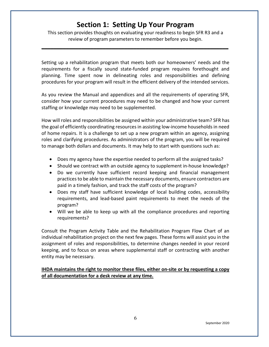# **Section 1: Setting Up Your Program**

<span id="page-6-0"></span>This section provides thoughts on evaluating your readiness to begin SFR R3 and a review of program parameters to remember before you begin.

**\_\_\_\_\_\_\_\_\_\_\_\_\_\_\_\_\_\_\_\_\_\_\_\_\_\_\_\_\_\_\_\_\_\_\_\_\_\_\_\_\_\_\_\_\_\_\_\_\_\_\_\_\_\_\_\_\_\_\_\_\_**

Setting up a rehabilitation program that meets both our homeowners' needs and the requirements for a fiscally sound state-funded program requires forethought and planning. Time spent now in delineating roles and responsibilities and defining procedures for your program will result in the efficient delivery of the intended services.

As you review the Manual and appendices and all the requirements of operating SFR, consider how your current procedures may need to be changed and how your current staffing or knowledge may need to be supplemented.

How will roles and responsibilities be assigned within your administrative team? SFR has the goal of efficiently coordinating resources in assisting low-income households in need of home repairs. It is a challenge to set up a new program within an agency, assigning roles and clarifying procedures. As administrators of the program, you will be required to manage both dollars and documents. It may help to start with questions such as:

- Does my agency have the expertise needed to perform all the assigned tasks?
- Should we contract with an outside agency to supplement in-house knowledge?
- Do we currently have sufficient record keeping and financial management practices to be able to maintain the necessary documents, ensure contractors are paid in a timely fashion, and track the staff costs of the program?
- Does my staff have sufficient knowledge of local building codes, accessibility requirements, and lead-based paint requirements to meet the needs of the program?
- Will we be able to keep up with all the compliance procedures and reporting requirements?

Consult the Program Activity Table and the Rehabilitation Program Flow Chart of an individual rehabilitation project on the next few pages. These forms will assist you in the assignment of roles and responsibilities, to determine changes needed in your record keeping, and to focus on areas where supplemental staff or contracting with another entity may be necessary.

### **IHDA maintains the right to monitor these files, either on-site or by requesting a copy of all documentation for a desk review at any time.**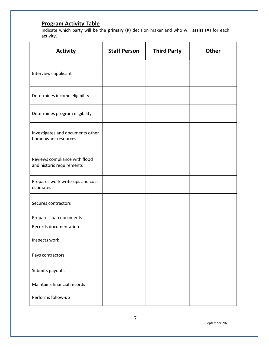# <span id="page-7-0"></span>**Program Activity Table**

Indicate which party will be the **primary (P)** decision maker and who will **assist (A)** for each activity.

| <b>Activity</b>                                            | <b>Staff Person</b> | <b>Third Party</b> | <b>Other</b> |
|------------------------------------------------------------|---------------------|--------------------|--------------|
| Interviews applicant                                       |                     |                    |              |
| Determines income eligibility                              |                     |                    |              |
| Determines program eligibility                             |                     |                    |              |
| Investigates and documents other<br>homeowner resources    |                     |                    |              |
| Reviews compliance with flood<br>and historic requirements |                     |                    |              |
| Prepares work write-ups and cost<br>estimates              |                     |                    |              |
| Secures contractors                                        |                     |                    |              |
| Prepares loan documents                                    |                     |                    |              |
| Records documentation                                      |                     |                    |              |
| Inspects work                                              |                     |                    |              |
| Pays contractors                                           |                     |                    |              |
| Submits payouts                                            |                     |                    |              |
| Maintains financial records                                |                     |                    |              |
| Performs follow-up                                         |                     |                    |              |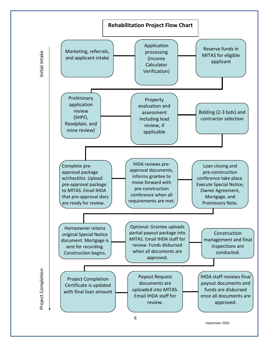<span id="page-8-0"></span>

September 2020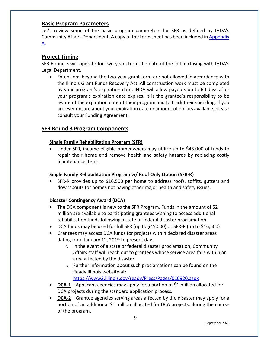### <span id="page-9-0"></span>**Basic Program Parameters**

Let's review some of the basic program parameters for SFR as defined by IHDA's Community Affairs Department. A copy of the term sheet has been included in [Appendix](https://df7qosnywqs6g.cloudfront.net/wp-content/uploads/2020/07/Appendix-A-Guidance-and-Samples.zip)  [A.](https://df7qosnywqs6g.cloudfront.net/wp-content/uploads/2020/07/Appendix-A-Guidance-and-Samples.zip)

## **Project Timing**

SFR Round 3 will operate for two years from the date of the initial closing with IHDA's Legal Department.

• Extensions beyond the two-year grant term are not allowed in accordance with the Illinois Grant Funds Recovery Act. All construction work must be completed by your program's expiration date. IHDA will allow payouts up to 60 days after your program's expiration date expires. It is the grantee's responsibility to be aware of the expiration date of their program and to track their spending. If you are ever unsure about your expiration date or amount of dollars available, please consult your Funding Agreement.

# **SFR Round 3 Program Components**

### **Single Family Rehabilitation Program (SFR)**

• Under SFR, income eligible homeowners may utilize up to \$45,000 of funds to repair their home and remove health and safety hazards by replacing costly maintenance items.

### **Single Family Rehabilitation Program w/ Roof Only Option (SFR-R)**

• SFR-R provides up to \$16,500 per home to address roofs, soffits, gutters and downspouts for homes not having other major health and safety issues.

### **Disaster Contingency Award (DCA)**

- The DCA component is new to the SFR Program. Funds in the amount of \$2 million are available to participating grantees wishing to access additional rehabilitation funds following a state or federal disaster proclamation.
- DCA funds may be used for full SFR (up to \$45,000) or SFR-R (up to \$16,500)
- Grantees may access DCA funds for projects within declared disaster areas dating from January  $1<sup>st</sup>$ , 2019 to present day.
	- o In the event of a state or federal disaster proclamation, Community Affairs staff will reach out to grantees whose service area falls within an area affected by the disaster.
	- o Further information about such proclamations can be found on the Ready Illinois website at:

<https://www2.illinois.gov/ready/Press/Pages/010920.aspx>

- **DCA-1**—Applicant agencies may apply for a portion of \$1 million allocated for DCA projects during the standard application process.
- **DCA-2**—Grantee agencies serving areas affected by the disaster may apply for a portion of an additional \$1 million allocated for DCA projects, during the course of the program.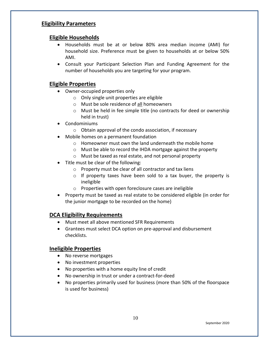# <span id="page-10-0"></span>**Eligibility Parameters**

## **Eligible Households**

- Households must be at or below 80% area median income (AMI) for household size. Preference must be given to households at or below 50% AMI.
- Consult your Participant Selection Plan and Funding Agreement for the number of households you are targeting for your program.

## **Eligible Properties**

- Owner-occupied properties only
	- o Only single unit properties are eligible
	- o Must be sole residence of all homeowners
	- o Must be held in fee simple title (no contracts for deed or ownership held in trust)
- Condominiums
	- o Obtain approval of the condo association, if necessary
- Mobile homes on a permanent foundation
	- o Homeowner must own the land underneath the mobile home
	- o Must be able to record the IHDA mortgage against the property
	- o Must be taxed as real estate, and not personal property
- Title must be clear of the following:
	- o Property must be clear of all contractor and tax liens
	- o If property taxes have been sold to a tax buyer, the property is ineligible
	- o Properties with open foreclosure cases are ineligible
- Property must be taxed as real estate to be considered eligible (in order for the junior mortgage to be recorded on the home)

## **DCA Eligibility Requirements**

- Must meet all above mentioned SFR Requirements
- Grantees must select DCA option on pre-approval and disbursement checklists.

## **Ineligible Properties**

- No reverse mortgages
- No investment properties
- No properties with a home equity line of credit
- No ownership in trust or under a contract-for-deed
- No properties primarily used for business (more than 50% of the floorspace is used for business)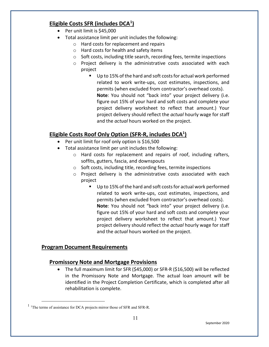# <span id="page-11-0"></span>**Eligible Costs SFR (includes DCA[1](#page-11-2) )**

- Per unit limit is \$45,000
- Total assistance limit per unit includes the following:
	- o Hard costs for replacement and repairs
	- o Hard costs for health and safety items
	- o Soft costs, including title search, recording fees, termite inspections
	- o Project delivery is the administrative costs associated with each project
		- Up to 15% of the hard and soft costs for actual work performed related to work write-ups, cost estimates, inspections, and permits (when excluded from contractor's overhead costs). **Note**: You should not "back into" your project delivery (i.e. figure out 15% of your hard and soft costs and complete your project delivery worksheet to reflect that amount.) Your project delivery should reflect the *actual* hourly wage for staff and the *actual* hours worked on the project.

# **Eligible Costs Roof Only Option (SFR-R, includes DCA1 )**

- Per unit limit for roof only option is \$16,500
- Total assistance limit per unit includes the following:
	- o Hard costs for replacement and repairs of roof, including rafters, soffits, gutters, fascia, and downspouts
	- o Soft costs, including title, recording fees, termite inspections
	- o Project delivery is the administrative costs associated with each project
		- Up to 15% of the hard and soft costs for actual work performed related to work write-ups, cost estimates, inspections, and permits (when excluded from contractor's overhead costs). **Note**: You should not "back into" your project delivery (i.e. figure out 15% of your hard and soft costs and complete your project delivery worksheet to reflect that amount.) Your project delivery should reflect the *actual* hourly wage for staff and the *actual* hours worked on the project.

# <span id="page-11-1"></span>**Program Document Requirements**

# **Promissory Note and Mortgage Provisions**

• The full maximum limit for SFR (\$45,000) or SFR-R (\$16,500) will be reflected in the Promissory Note and Mortgage. The actual loan amount will be identified in the Project Completion Certificate, which is completed after all rehabilitation is complete.

<span id="page-11-2"></span> $<sup>1</sup>$  The terms of assistance for DCA projects mirror those of SFR and SFR-R.</sup>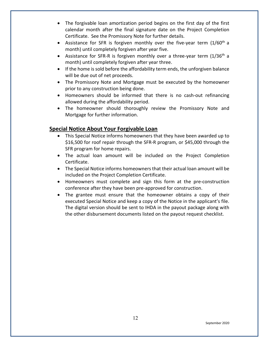- The forgivable loan amortization period begins on the first day of the first calendar month after the final signature date on the Project Completion Certificate. See the Promissory Note for further details.
- Assistance for SFR is forgiven monthly over the five-year term  $(1/60<sup>th</sup> a)$ month) until completely forgiven after year five.
- Assistance for SFR-R is forgiven monthly over a three-year term  $(1/36<sup>th</sup> a)$ month) until completely forgiven after year three.
- If the home is sold before the affordability term ends, the unforgiven balance will be due out of net proceeds.
- The Promissory Note and Mortgage must be executed by the homeowner prior to any construction being done.
- Homeowners should be informed that there is no cash-out refinancing allowed during the affordability period.
- The homeowner should thoroughly review the Promissory Note and Mortgage for further information.

# **Special Notice About Your Forgivable Loan**

- This Special Notice informs homeowners that they have been awarded up to \$16,500 for roof repair through the SFR-R program, or \$45,000 through the SFR program for home repairs.
- The actual loan amount will be included on the Project Completion Certificate.
- The Special Notice informs homeowners that their actual loan amount will be included on the Project Completion Certificate.
- Homeowners must complete and sign this form at the pre-construction conference after they have been pre-approved for construction.
- The grantee must ensure that the homeowner obtains a copy of their executed Special Notice and keep a copy of the Notice in the applicant's file. The digital version should be sent to IHDA in the payout package along with the other disbursement documents listed on the payout request checklist.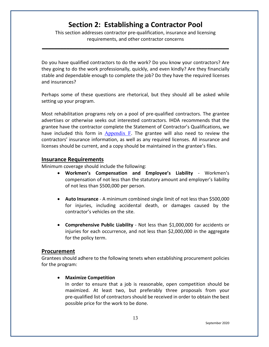# **Section 2: Establishing a Contractor Pool**

<span id="page-13-0"></span>This section addresses contractor pre-qualification, insurance and licensing requirements, and other contractor concerns

**\_\_\_\_\_\_\_\_\_\_\_\_\_\_\_\_\_\_\_\_\_\_\_\_\_\_\_\_\_\_\_\_\_\_\_\_\_\_\_\_\_\_\_\_\_\_\_\_\_\_\_\_\_\_\_\_\_\_\_\_\_**

Do you have qualified contractors to do the work? Do you know your contractors? Are they going to do the work professionally, quickly, and even kindly? Are they financially stable and dependable enough to complete the job? Do they have the required licenses and insurances?

Perhaps some of these questions are rhetorical, but they should all be asked while setting up your program.

Most rehabilitation programs rely on a pool of pre-qualified contractors. The grantee advertises or otherwise seeks out interested contractors. IHDA recommends that the grantee have the contractor complete the Statement of Contractor's Qualifications, we have included this form in [Appendix F](https://df7qosnywqs6g.cloudfront.net/wp-content/uploads/2022/02/Appendix-F-Contractor-Forms-SFR-Round-3.zip). The grantee will also need to review the contractors' insurance information, as well as any required licenses. All insurance and licenses should be current, and a copy should be maintained in the grantee's files.

#### <span id="page-13-1"></span>**Insurance Requirements**

Minimum coverage should include the following:

- **Workmen's Compensation and Employee's Liability** Workmen's compensation of not less than the statutory amount and employer's liability of not less than \$500,000 per person.
- **Auto Insurance** A minimum combined single limit of not less than \$500,000 for injuries, including accidental death, or damages caused by the contractor's vehicles on the site.
- **Comprehensive Public Liability** Not less than \$1,000,000 for accidents or injuries for each occurrence, and not less than \$2,000,000 in the aggregate for the policy term.

### <span id="page-13-2"></span>**Procurement**

Grantees should adhere to the following tenets when establishing procurement policies for the program:

#### • **Maximize Competition**

In order to ensure that a job is reasonable, open competition should be maximized. At least two, but preferably three proposals from your pre-qualified list of contractors should be received in order to obtain the best possible price for the work to be done.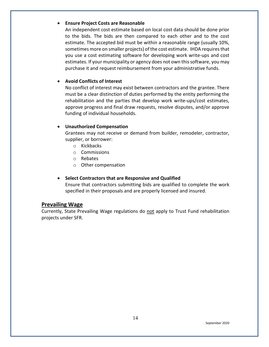#### • **Ensure Project Costs are Reasonable**

An independent cost estimate based on local cost data should be done prior to the bids. The bids are then compared to each other and to the cost estimate. The accepted bid must be within a reasonable range (usually 10%, sometimes more on smaller projects) of the cost estimate. IHDA requires that you use a cost estimating software for developing work write-ups and cost estimates. If your municipality or agency does not own this software, you may purchase it and request reimbursement from your administrative funds.

#### • **Avoid Conflicts of Interest**

No conflict of interest may exist between contractors and the grantee. There must be a clear distinction of duties performed by the entity performing the rehabilitation and the parties that develop work write-ups/cost estimates, approve progress and final draw requests, resolve disputes, and/or approve funding of individual households.

#### • **Unauthorized Compensation**

Grantees may not receive or demand from builder, remodeler, contractor, supplier, or borrower:

- o Kickbacks
- o Commissions
- o Rebates
- o Other compensation

#### • **Select Contractors that are Responsive and Qualified**

Ensure that contractors submitting bids are qualified to complete the work specified in their proposals and are properly licensed and insured.

### <span id="page-14-0"></span>**Prevailing Wage**

Currently, State Prevailing Wage regulations do not apply to Trust Fund rehabilitation projects under SFR.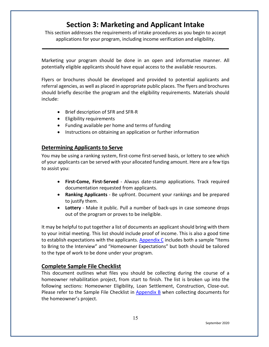# **Section 3: Marketing and Applicant Intake**

<span id="page-15-0"></span>This section addresses the requirements of intake procedures as you begin to accept applications for your program, including income verification and eligibility.

**\_\_\_\_\_\_\_\_\_\_\_\_\_\_\_\_\_\_\_\_\_\_\_\_\_\_\_\_\_\_\_\_\_\_\_\_\_\_\_\_\_\_\_\_\_\_\_\_\_\_\_\_\_\_\_\_\_\_\_\_\_**

Marketing your program should be done in an open and informative manner. All potentially eligible applicants should have equal access to the available resources.

Flyers or brochures should be developed and provided to potential applicants and referral agencies, as well as placed in appropriate public places. The flyers and brochures should briefly describe the program and the eligibility requirements. Materials should include:

- Brief description of SFR and SFR-R
- Eligibility requirements
- Funding available per home and terms of funding
- Instructions on obtaining an application or further information

# <span id="page-15-1"></span>**Determining Applicants to Serve**

You may be using a ranking system, first-come first-served basis, or lottery to see which of your applicants can be served with your allocated funding amount. Here are a few tips to assist you:

- **First-Come, First-Served** Always date-stamp applications. Track required documentation requested from applicants.
- **Ranking Applicants** Be upfront. Document your rankings and be prepared to justify them.
- **Lottery** Make it public. Pull a number of back-ups in case someone drops out of the program or proves to be ineligible.

It may be helpful to put together a list of documents an applicant should bring with them to your initial meeting. This list should include proof of income. This is also a good time to establish expectations with the applicants. [Appendix C](https://df7qosnywqs6g.cloudfront.net/wp-content/uploads/2021/05/Appendix-C-Applicant-Info-and-Forms-1.zip) includes both a sample "Items to Bring to the Interview" and "Homeowner Expectations" but both should be tailored to the type of work to be done under your program.

## <span id="page-15-2"></span>**Complete Sample File Checklist**

This document outlines what files you should be collecting during the course of a homeowner rehabilitation project, from start to finish. The list is broken up into the following sections: Homeowner Eligibility, Loan Settlement, Construction, Close-out. Please refer to the Sample File Checklist in [Appendix B](https://df7qosnywqs6g.cloudfront.net/wp-content/uploads/2021/06/Appendix-B-Checklists-2.zip) when collecting documents for the homeowner's project.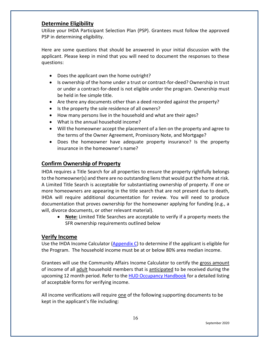### <span id="page-16-1"></span>**Determine Eligibility**

Utilize your IHDA Participant Selection Plan (PSP). Grantees must follow the approved PSP in determining eligibility.

Here are some questions that should be answered in your initial discussion with the applicant. Please keep in mind that you will need to document the responses to these questions:

- Does the applicant own the home outright?
- Is ownership of the home under a trust or contract-for-deed? Ownership in trust or under a contract-for-deed is not eligible under the program. Ownership must be held in fee simple title.
- Are there any documents other than a deed recorded against the property?
- Is the property the sole residence of all owners?
- How many persons live in the household and what are their ages?
- What is the annual household income?
- Will the homeowner accept the placement of a lien on the property and agree to the terms of the Owner Agreement, Promissory Note, and Mortgage?
- Does the homeowner have adequate property insurance? Is the property insurance in the homeowner's name?

# <span id="page-16-0"></span>**Confirm Ownership of Property**

IHDA requires a Title Search for all properties to ensure the property rightfully belongs to the homeowner(s) and there are no outstanding liens that would put the home at risk. A Limited Title Search is acceptable for substantiating ownership of property. If one or more homeowners are appearing in the title search that are not present due to death, IHDA will require additional documentation for review. You will need to produce documentation that proves ownership for the homeowner applying for funding (e.g., a will, divorce documents, or other relevant material).

• **Note:** Limited Title Searches are acceptable to verify if a property meets the SFR ownership requirements outlined below

# <span id="page-16-2"></span>**Verify Income**

Use the IHDA Income Calculator [\(Appendix C\)](https://df7qosnywqs6g.cloudfront.net/wp-content/uploads/2021/05/Appendix-C-Applicant-Info-and-Forms-1.zip) to determine if the applicant is eligible for the Program. The household income must be at or below 80% area median income.

Grantees will use the Community Affairs Income Calculator to certify the gross amount of income of all adult household members that is anticipated to be received during the upcoming 12 month period. Refer to th[e HUD Occupancy Handbook](https://www.ihda.org/wp-content/uploads/2020/07/Appendix-3_HUD-Handbook_Acceptable-Forms-of-Verification.pdf) for a detailed listing of acceptable forms for verifying income.

All income verifications will require one of the following supporting documents to be kept in the applicant's file including: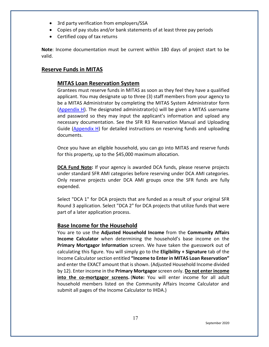- 3rd party verification from employers/SSA
- Copies of pay stubs and/or bank statements of at least three pay periods
- Certified copy of tax returns

**Note**: Income documentation must be current within 180 days of project start to be valid.

# <span id="page-17-0"></span>**Reserve Funds in MITAS**

# **MITAS Loan Reservation System**

Grantees must reserve funds in MITAS as soon as they feel they have a qualified applicant. You may designate up to three (3) staff members from your agency to be a MITAS Administrator by completing the MITAS System Administrator form [\(Appendix H\)](https://df7qosnywqs6g.cloudfront.net/wp-content/uploads/2021/04/Appendix-H-MITAS-Manual-and-Forms.zip). The designated administrator(s) will be given a MITAS username and password so they may input the applicant's information and upload any necessary documentation. See the SFR R3 Reservation Manual and Uploading Guide ( $Appendix H$ ) for detailed instructions on reserving funds and uploading documents.

Once you have an eligible household, you can go into MITAS and reserve funds for this property, up to the \$45,000 maximum allocation.

**DCA Fund Note:** If your agency is awarded DCA funds, please reserve projects under standard SFR AMI categories before reserving under DCA AMI categories. Only reserve projects under DCA AMI groups once the SFR funds are fully expended.

Select "DCA 1" for DCA projects that are funded as a result of your original SFR Round 3 application. Select "DCA 2" for DCA projects that utilize funds that were part of a later application process.

## **Base Income for the Household**

You are to use the **Adjusted Household Income** from the **Community Affairs Income Calculator** when determining the household's base income on the **Primary Mortgagor Information** screen. We have taken the guesswork out of calculating this figure. You will simply go to the **Eligibility + Signature** tab of the Income Calculator section entitled **"Income to Enter in MITAS Loan Reservation"** and enter the EXACT amount that is shown. (Adjusted Household Income divided by 12). Enter income in the **Primary Mortgagor** screen only. **Do not enter income into the co-mortgagor screens.** (**Note:** You will enter income for all adult household members listed on the Community Affairs Income Calculator and submit all pages of the Income Calculator to IHDA.)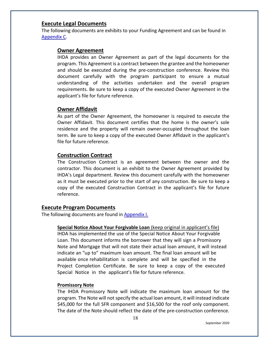#### <span id="page-18-0"></span>**Execute Legal Documents**

The following documents are exhibits to your Funding Agreement and can be found in [Appendix C.](https://df7qosnywqs6g.cloudfront.net/wp-content/uploads/2021/05/Appendix-C-Applicant-Info-and-Forms-1.zip)

#### **Owner Agreement**

IHDA provides an Owner Agreement as part of the legal documents for the program. This Agreement is a contract between the grantee and the homeowner and should be executed during the pre-construction conference. Review this document carefully with the program participant to ensure a mutual understanding of the activities undertaken and the overall program requirements. Be sure to keep a copy of the executed Owner Agreement in the applicant's file for future reference.

### **Owner Affidavit**

As part of the Owner Agreement, the homeowner is required to execute the Owner Affidavit. This document certifies that the home is the owner's sole residence and the property will remain owner-occupied throughout the loan term. Be sure to keep a copy of the executed Owner Affidavit in the applicant's file for future reference.

### **Construction Contract**

The Construction Contract is an agreement between the owner and the contractor. This document is an exhibit to the Owner Agreement provided by IHDA's Legal department. Review this document carefully with the homeowner as it must be executed prior to the start of any construction. Be sure to keep a copy of the executed Construction Contract in the applicant's file for future reference.

### <span id="page-18-1"></span>**Execute Program Documents**

The following documents are found in [Appendix I.](https://df7qosnywqs6g.cloudfront.net/wp-content/uploads/2020/07/Appendix-I-Fillable-Note-Mortgage-and-Special-Notice.zip)

**Special Notice About Your Forgivable Loan** (keep original in applicant's file) IHDA has implemented the use of the Special Notice About Your Forgivable Loan. This document informs the borrower that they will sign a Promissory Note and Mortgage that will not state their actual loan amount, it will instead indicate an "up to" maximum loan amount. The final loan amount will be available once rehabilitation is complete and will be specified in the Project Completion Certificate. Be sure to keep a copy of the executed Special Notice in the applicant's file for future reference.

### **Promissory Note**

The IHDA Promissory Note will indicate the maximum loan amount for the program. The Note will not specify the actual loan amount, it will instead indicate \$45,000 for the full SFR component and \$16,500 for the roof only component. The date of the Note should reflect the date of the pre-construction conference.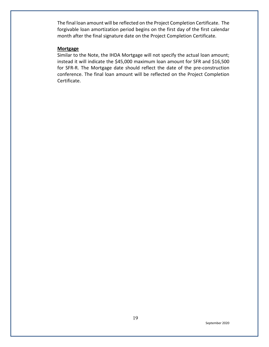The final loan amount will be reflected on the Project Completion Certificate. The forgivable loan amortization period begins on the first day of the first calendar month after the final signature date on the Project Completion Certificate.

#### **Mortgage**

Similar to the Note, the IHDA Mortgage will not specify the actual loan amount; instead it will indicate the \$45,000 maximum loan amount for SFR and \$16,500 for SFR-R. The Mortgage date should reflect the date of the pre-construction conference. The final loan amount will be reflected on the Project Completion Certificate.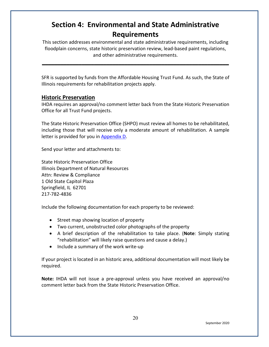# <span id="page-20-0"></span>**Section 4: Environmental and State Administrative Requirements**

This section addresses environmental and state administrative requirements, including floodplain concerns, state historic preservation review, lead-based paint regulations, and other administrative requirements.

**\_\_\_\_\_\_\_\_\_\_\_\_\_\_\_\_\_\_\_\_\_\_\_\_\_\_\_\_\_\_\_\_\_\_\_\_\_\_\_\_\_\_\_\_\_\_\_\_\_\_\_\_\_\_\_\_\_\_\_\_\_**

SFR is supported by funds from the Affordable Housing Trust Fund. As such, the State of Illinois requirements for rehabilitation projects apply.

## <span id="page-20-1"></span>**Historic Preservation**

IHDA requires an approval/no comment letter back from the State Historic Preservation Office for all Trust Fund projects.

The State Historic Preservation Office (SHPO) must review all homes to be rehabilitated, including those that will receive only a moderate amount of rehabilitation. A sample letter is provided for you in [Appendix D.](https://df7qosnywqs6g.cloudfront.net/wp-content/uploads/2020/09/Appendix-D-Environmental-and-SHPO.zip)

Send your letter and attachments to:

State Historic Preservation Office Illinois Department of Natural Resources Attn: Review & Compliance 1 Old State Capitol Plaza Springfield, IL 62701 217-782-4836

Include the following documentation for each property to be reviewed:

- Street map showing location of property
- Two current, unobstructed color photographs of the property
- A brief description of the rehabilitation to take place. (**Note**: Simply stating "rehabilitation" will likely raise questions and cause a delay.)
- Include a summary of the work write-up

If your project is located in an historic area, additional documentation will most likely be required.

**Note:** IHDA will not issue a pre-approval unless you have received an approval/no comment letter back from the State Historic Preservation Office.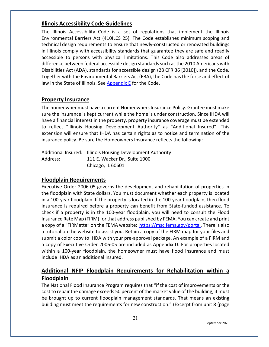# <span id="page-21-0"></span>**Illinois Accessibility Code Guidelines**

The Illinois Accessibility Code is a set of regulations that implement the Illinois Environmental Barriers Act (410ILCS 25). The Code establishes minimum scoping and technical design requirements to ensure that newly-constructed or renovated buildings in Illinois comply with accessibility standards that guarantee they are safe and readily accessible to persons with physical limitations. This Code also addresses areas of difference between federal accessible design standards such as the 2010 Americans with Disabilities Act (ADA), standards for accessible design (28 CFR 36 [2010]), and the Code. Together with the Environmental Barriers Act (EBA), the Code has the force and effect of law in the State of Illinois. See [Appendix E](https://df7qosnywqs6g.cloudfront.net/wp-content/uploads/2020/07/Appendix-E-Accessibility-Documents.zip) for the Code.

## <span id="page-21-1"></span>**Property Insurance**

The homeowner must have a current Homeowners Insurance Policy. Grantee must make sure the insurance is kept current while the home is under construction. Since IHDA will have a financial interest in the property, property insurance coverage must be extended to reflect "Illinois Housing Development Authority" as "Additional Insured". This extension will ensure that IHDA has certain rights as to notice and termination of the insurance policy. Be sure the Homeowners Insurance reflects the following:

Additional Insured: Illinois Housing Development Authority Address: 111 E. Wacker Dr., Suite 1000 Chicago, IL 60601

## **Floodplain Requirements**

Executive Order 2006-05 governs the development and rehabilitation of properties in the floodplain with State dollars. You must document whether each property is located in a 100-year floodplain. If the property is located in the 100-year floodplain, then flood insurance is required before a property can benefit from State-funded assistance. To check if a property is in the 100-year floodplain, you will need to consult the Flood Insurance Rate Map (FIRM) for that address published by FEMA. You can create and print a copy of a "FIRMette" on the FEMA website: [https://msc.fema.gov/portal.](https://msc.fema.gov/portal) There is also a tutorial on the website to assist you. Retain a copy of the FIRM map for your files and submit a color copy to IHDA with your pre-approval package. An example of a FIRM and a copy of Executive Order 2006-05 are included as [Appendix D.](https://df7qosnywqs6g.cloudfront.net/wp-content/uploads/2020/09/Appendix-D-Environmental-and-SHPO.zip) For properties located within a 100-year floodplain, the homeowner must have flood insurance and must include IHDA as an additional insured.

# <span id="page-21-2"></span>**Additional NFIP Floodplain Requirements for Rehabilitation within a Floodplain**

The National Flood Insurance Program requires that "if the cost of improvements or the cost to repair the damage exceeds 50 percent of the market value of the building, it must be brought up to current floodplain management standards. That means an existing building must meet the requirements for new construction." (Excerpt from unit 8 (page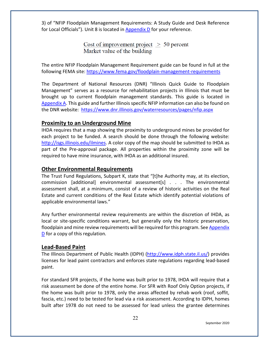3) of "NFIP Floodplain Management Requirements: A Study Guide and Desk Reference for Local Officials"). Unit 8 is located i[n Appendix D](https://df7qosnywqs6g.cloudfront.net/wp-content/uploads/2020/09/Appendix-D-Environmental-and-SHPO.zip) for your reference.

> Cost of improvement project  $> 50$  percent Market value of the building

The entire NFIP Floodplain Management Requirement guide can be found in full at the following FEMA site: <https://www.fema.gov/floodplain-management-requirements>

The Department of National Resources (DNR) "Illinois Quick Guide to Floodplain Management" serves as a resource for rehabilitation projects in Illinois that must be brought up to current floodplain management standards. This guide is located in [Appendix A.](https://df7qosnywqs6g.cloudfront.net/wp-content/uploads/2020/07/Appendix-A-Guidance-and-Samples.zip) This guide and further Illinois specific NFIP information can also be found on the DNR website: <https://www.dnr.illinois.gov/waterresources/pages/nfip.aspx>

## <span id="page-22-0"></span>**Proximity to an Underground Mine**

IHDA requires that a map showing the proximity to underground mines be provided for each project to be funded. A search should be done through the following website: [http://isgs.illinois.edu/ilmines.](http://isgs.illinois.edu/ilmines) A color copy of the map should be submitted to IHDA as part of the Pre-approval package. All properties within the proximity zone will be required to have mine insurance, with IHDA as an additional insured.

## <span id="page-22-1"></span>**Other Environmental Requirements**

The Trust Fund Regulations, Subpart K, state that "[t]he Authority may, at its election, commission [additional] environmental assessment[s] . . . The environmental assessment shall, at a minimum, consist of a review of historic activities on the Real Estate and current conditions of the Real Estate which identify potential violations of applicable environmental laws."

Any further environmental review requirements are within the discretion of IHDA, as local or site-specific conditions warrant, but generally only the historic preservation, floodplain and mine review requirements will be required for this program. See [Appendix](https://df7qosnywqs6g.cloudfront.net/wp-content/uploads/2020/09/Appendix-D-Environmental-and-SHPO.zip)  [D](https://df7qosnywqs6g.cloudfront.net/wp-content/uploads/2020/07/Appendix-D-Environmental-and-SHPO.zip) for a copy of this regulation*.*

## <span id="page-22-2"></span>**Lead-Based Paint**

The Illinois Department of Public Health (IDPH) [\(http://www.idph.state.il.us/\)](http://www.idph.state.il.us/) provides licenses for lead paint contractors and enforces state regulations regarding lead-based paint.

For standard SFR projects, if the home was built prior to 1978, IHDA will require that a risk assessment be done of the entire home. For SFR with Roof Only Option projects, if the home was built prior to 1978, only the areas affected by rehab work (roof, soffit, fascia, etc.) need to be tested for lead via a risk assessment. According to IDPH, homes built after 1978 do not need to be assessed for lead unless the grantee determines

22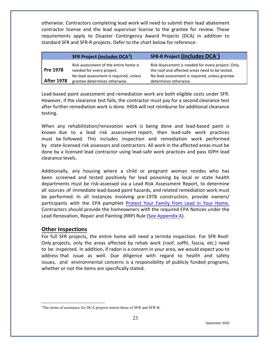otherwise. Contractors completing lead work will need to submit their lead abatement contractor license and the lead supervisor license to the grantee for review. These requirements apply to Disaster Contingency Award Projects (DCA) in addition to standard SFR and SFR-R projects. Defer to the chart below for reference:

|                   | <b>SFR Project (includes DCA<sup>2</sup>)</b>                                                                | <b>SFR-R Project (includes DCA<sup>2</sup>)</b>                                                                                                       |
|-------------------|--------------------------------------------------------------------------------------------------------------|-------------------------------------------------------------------------------------------------------------------------------------------------------|
| Pre 1978          | Risk assessment of the entire home is<br>needed for every project.<br>No lead assessment is required, unless | Risk Assessment is needed for every project. Only<br>the roof and affected areas need to be tested.<br>No lead assessment is required, unless grantee |
| <b>After 1978</b> | grantee determines otherwise.                                                                                | determines otherwise.                                                                                                                                 |

Lead-based paint assessment and remediation work are both eligible costs under SFR. However, if the clearance test fails, the contractor must pay for a second clearance test after further remediation work is done. IHDA will not reimburse for additional clearance testing.

When any rehabilitation/renovation work is being done and lead-based paint is known due to a lead risk assessment report, then lead-safe work practices must be followed. This includes inspection and remediation work performed by state-licensed risk assessors and contractors. All work in the affected areas must be done by a licensed lead contractor using lead-safe work practices and pass IDPH lead clearance levels.

Additionally, any housing where a child or pregnant woman resides who has been screened and tested positively for lead poisoning by local or state health departments must be risk-assessed via a Lead Risk Assessment Report, to determine all sources of immediate lead-based paint hazards, and related remediation work must be performed. In all instances involving pre-1978 construction, provide owners/ participants with the EPA pamphlet [Protect](https://www.epa.gov/sites/production/files/2020-04/documents/lead-in-your-home-portrait-color-2020-508.pdf) Your Family from Lead in Your Home. Contractors should provide the homeowners with the required EPA Notices under the Lead Renovation, Repair and Painting (RRP) Rule [\(See Appendix A\).](https://df7qosnywqs6g.cloudfront.net/wp-content/uploads/2020/07/Appendix-A-Guidance-and-Samples.zip)

## <span id="page-23-0"></span>**Other Inspections**

For full SFR projects, the entire home will need a termite inspection. For SFR Roof-Only projects, only the areas affected by rehab work (roof, soffit, fascia, etc.) need to be inspected. In addition, if radon is a concern in your area, we would expect you to address that issue as well. Due diligence with regard to health and safety issues, and environmental concerns is a responsibility of publicly funded programs, whether or not the items are specifically stated.

<span id="page-23-1"></span><sup>&</sup>lt;sup>2</sup>The terms of assistance for DCA projects mirror those of SFR and SFR-R.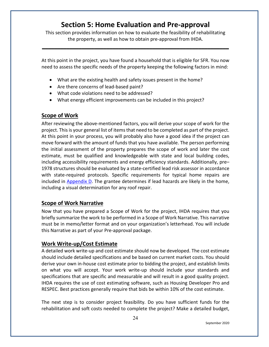# **Section 5: Home Evaluation and Pre-approval**

<span id="page-24-0"></span>This section provides information on how to evaluate the feasibility of rehabilitating the property, as well as how to obtain pre-approval from IHDA.

**\_\_\_\_\_\_\_\_\_\_\_\_\_\_\_\_\_\_\_\_\_\_\_\_\_\_\_\_\_\_\_\_\_\_\_\_\_\_\_\_\_\_\_\_\_\_\_\_\_\_\_\_\_\_\_\_\_\_\_\_\_**

At this point in the project, you have found a household that is eligible for SFR. You now need to assess the specific needs of the property keeping the following factors in mind:

- What are the existing health and safety issues present in the home?
- Are there concerns of lead-based paint?
- What code violations need to be addressed?
- What energy efficient improvements can be included in this project?

# <span id="page-24-1"></span>**Scope of Work**

After reviewing the above-mentioned factors, you will derive your scope of work for the project. This is your general list of items that need to be completed as part of the project. At this point in your process, you will probably also have a good idea if the project can move forward with the amount of funds that you have available. The person performing the initial assessment of the property prepares the scope of work and later the cost estimate, must be qualified and knowledgeable with state and local building codes, including accessibility requirements and energy efficiency standards. Additionally, pre– 1978 structures should be evaluated by a state-certified lead risk assessor in accordance with state-required protocols. Specific requirements for typical home repairs are included in [Appendix D.](https://df7qosnywqs6g.cloudfront.net/wp-content/uploads/2020/09/Appendix-D-Environmental-and-SHPO.zip) The grantee determines if lead hazards are likely in the home, including a visual determination for any roof repair.

# **Scope of Work Narrative**

Now that you have prepared a Scope of Work for the project, IHDA requires that you briefly summarize the work to be performed in a Scope of Work Narrative. This narrative must be in memo/letter format and on your organization's letterhead. You will include this Narrative as part of your Pre-approval package.

## <span id="page-24-2"></span>**Work Write-up/Cost Estimate**

A detailed work write-up and cost estimate should now be developed. The cost estimate should include detailed specifications and be based on current market costs. You should derive your own in-house cost estimate prior to bidding the project, and establish limits on what you will accept. Your work write-up should include your standards and specifications that are specific and measurable and will result in a good quality project. IHDA requires the use of cost estimating software, such as Housing Developer Pro and RESPEC. Best practices generally require that bids be within 10% of the cost estimate.

The next step is to consider project feasibility. Do you have sufficient funds for the rehabilitation and soft costs needed to complete the project? Make a detailed budget,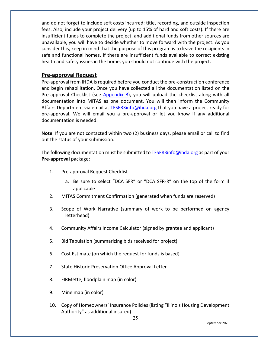and do not forget to include soft costs incurred: title, recording, and outside inspection fees. Also, include your project delivery (up to 15% of hard and soft costs). If there are insufficient funds to complete the project, and additional funds from other sources are unavailable, you will have to decide whether to move forward with the project. As you consider this, keep in mind that the purpose of this program is to leave the recipients in safe and functional homes. If there are insufficient funds available to correct existing health and safety issues in the home, you should not continue with the project.

#### <span id="page-25-0"></span>**Pre-approval Request**

Pre-approval from IHDA is required before you conduct the pre-construction conference and begin rehabilitation. Once you have collected all the documentation listed on the Pre-approval Checklist (see [Appendix B\)](https://df7qosnywqs6g.cloudfront.net/wp-content/uploads/2021/06/Appendix-B-Checklists-2.zip), you will upload the checklist along with all documentation into MITAS as one document. You will then inform the Community Affairs Department via email at [TFSFR3info@ihda.org](mailto:TFSFR3info@ihda.org) that you have a project ready for pre-approval. We will email you a pre-approval or let you know if any additional documentation is needed.

**Note**: If you are not contacted within two (2) business days, please email or call to find out the status of your submission.

The following documentation must be submitted t[o TFSFR3info@ihda.org](mailto:TFSFR3info@ihda.org) as part of your **Pre-approval** package:

- 1. Pre-approval Request Checklist
	- a. Be sure to select "DCA SFR" or "DCA SFR-R" on the top of the form if applicable
- 2. MITAS Commitment Confirmation (generated when funds are reserved)
- 3. Scope of Work Narrative (summary of work to be performed on agency letterhead)
- 4. Community Affairs Income Calculator (signed by grantee and applicant)
- 5. Bid Tabulation (summarizing bids received for project)
- 6. Cost Estimate (on which the request for funds is based)
- 7. State Historic Preservation Office Approval Letter
- 8. FIRMette, floodplain map (in color)
- 9. Mine map (in color)
- 10. Copy of Homeowners' Insurance Policies (listing "Illinois Housing Development Authority" as additional insured)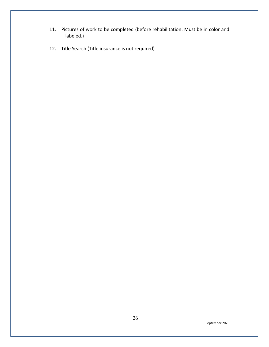- 11. Pictures of work to be completed (before rehabilitation. Must be in color and labeled.)
- 12. Title Search (Title insurance is not required)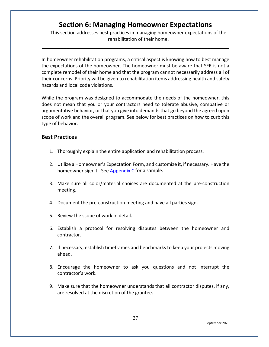# **Section 6: Managing Homeowner Expectations**

**\_\_\_\_\_\_\_\_\_\_\_\_\_\_\_\_\_\_\_\_\_\_\_\_\_\_\_\_\_\_\_\_\_\_\_\_\_\_\_\_\_\_\_\_\_\_\_\_\_\_\_\_\_\_\_\_\_\_\_\_\_**

<span id="page-27-2"></span><span id="page-27-0"></span>This section addresses best practices in managing homeowner expectations of the rehabilitation of their home.

In homeowner rehabilitation programs, a critical aspect is knowing how to best manage the expectations of the homeowner. The homeowner must be aware that SFR is not a complete remodel of their home and that the program cannot necessarily address all of their concerns. Priority will be given to rehabilitation items addressing health and safety hazards and local code violations.

While the program was designed to accommodate the needs of the homeowner, this does not mean that you or your contractors need to tolerate abusive, combative or argumentative behavior, or that you give into demands that go beyond the agreed upon scope of work and the overall program. See below for best practices on how to curb this type of behavior.

### <span id="page-27-1"></span>**Best Practices**

- 1. Thoroughly explain the entire application and rehabilitation process.
- 2. Utilize a Homeowner's Expectation Form, and customize it, if necessary. Have the homeowner sign it. See [Appendix C](https://df7qosnywqs6g.cloudfront.net/wp-content/uploads/2021/05/Appendix-C-Applicant-Info-and-Forms-1.zip) for a sample.
- 3. Make sure all color/material choices are documented at the pre-construction meeting.
- 4. Document the pre-construction meeting and have all parties sign.
- 5. Review the scope of work in detail.
- 6. Establish a protocol for resolving disputes between the homeowner and contractor.
- 7. If necessary, establish timeframes and benchmarks to keep your projects moving ahead.
- 8. Encourage the homeowner to ask you questions and not interrupt the contractor's work.
- 9. Make sure that the homeowner understands that all contractor disputes, if any, are resolved at the discretion of the grantee.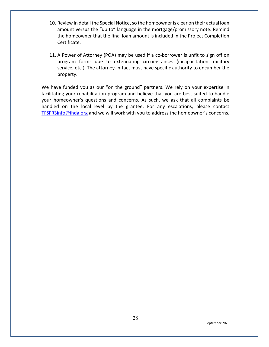- 10. Review in detail the Special Notice, so the homeowner is clear on their actual loan amount versus the "up to" language in the mortgage/promissory note. Remind the homeowner that the final loan amount is included in the Project Completion Certificate.
- 11. A Power of Attorney (POA) may be used if a co-borrower is unfit to sign off on program forms due to extenuating circumstances (incapacitation, military service, etc.). The attorney-in-fact must have specific authority to encumber the property.

We have funded you as our "on the ground" partners. We rely on your expertise in facilitating your rehabilitation program and believe that you are best suited to handle your homeowner's questions and concerns. As such, we ask that all complaints be handled on the local level by the grantee. For any escalations, please contact [TFSFR3info@ihda.org](mailto:TFSFR3info@ihda.org) and we will work with you to address the homeowner's concerns.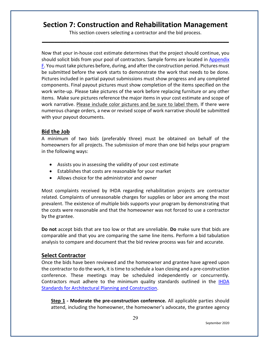# <span id="page-29-0"></span>**Section 7: Construction and Rehabilitation Management**

This section covers selecting a contractor and the bid process. **\_\_\_\_\_\_\_\_\_\_\_\_\_\_\_\_\_\_\_\_\_\_\_\_\_\_\_\_\_\_\_\_\_\_\_\_\_\_\_\_\_\_\_\_\_\_\_\_\_\_\_\_\_\_\_\_\_\_\_\_\_**

Now that your in-house cost estimate determines that the project should continue, you should solicit bids from your pool of contractors. Sample forms are located in [Appendix](https://df7qosnywqs6g.cloudfront.net/wp-content/uploads/2022/02/Appendix-F-Contractor-Forms-SFR-Round-3.zip)  [F.](https://df7qosnywqs6g.cloudfront.net/wp-content/uploads/2020/07/Appendix-F-Contractor-Forms.zip) You must take pictures before, during, and after the construction period. Pictures must be submitted before the work starts to demonstrate the work that needs to be done. Pictures included in partial payout submissions must show progress and any completed components. Final payout pictures must show completion of the items specified on the work write-up. Please take pictures of the work before replacing furniture or any other items. Make sure pictures reference the major items in your cost estimate and scope of work narrative. Please include color pictures and be sure to label them. If there were numerous change orders, a new or revised scope of work narrative should be submitted with your payout documents.

### <span id="page-29-1"></span>**Bid the Job**

A minimum of two bids (preferably three) must be obtained on behalf of the homeowners for all projects. The submission of more than one bid helps your program in the following ways:

- Assists you in assessing the validity of your cost estimate
- Establishes that costs are reasonable for your market
- Allows choice for the administrator and owner

Most complaints received by IHDA regarding rehabilitation projects are contractor related. Complaints of unreasonable charges for supplies or labor are among the most prevalent. The existence of multiple bids supports your program by demonstrating that the costs were reasonable and that the homeowner was not forced to use a contractor by the grantee.

**Do not** accept bids that are too low or that are unreliable. **Do** make sure that bids are comparable and that you are comparing the same line items. Perform a bid tabulation analysis to compare and document that the bid review process was fair and accurate.

## <span id="page-29-2"></span>**Select Contractor**

Once the bids have been reviewed and the homeowner and grantee have agreed upon the contractor to do the work, it is time to schedule a loan closing and a pre-construction conference. These meetings may be scheduled independently or concurrently. Contractors must adhere to the minimum quality standards outlined in the [IHDA](https://www.ihda.org/wp-content/uploads/2015/07/IHDA-Standards-for-Architectural-Planning-and-Construction-2019-FINAL.pdf)  [Standards for Architectural Planning and Construction.](https://www.ihda.org/wp-content/uploads/2015/07/IHDA-Standards-for-Architectural-Planning-and-Construction-2019-FINAL.pdf)

**Step 1** - Moderate the pre-construction conference. All applicable parties should attend, including the homeowner, the homeowner's advocate, the grantee agency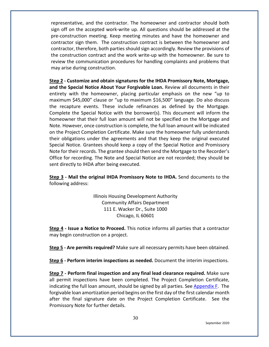representative, and the contractor. The homeowner and contractor should both sign off on the accepted work-write up. All questions should be addressed at the pre-construction meeting. Keep meeting minutes and have the homeowner and contractor sign them. The construction contract is between the homeowner and contractor, therefore, both parties should sign accordingly. Review the provisions of the construction contract and the work write-up with the homeowner. Be sure to review the communication procedures for handling complaints and problems that may arise during construction.

**Step 2 - Customize and obtain signatures for the IHDA Promissory Note, Mortgage, and the Special Notice About Your Forgivable Loan.** Review all documents in their entirety with the homeowner, placing particular emphasis on the new "up to maximum \$45,000" clause or "up to maximum \$16,500" language. Do also discuss the recapture events. These include refinances as defined by the Mortgage. Complete the Special Notice with the borrower(s). This document will inform the homeowner that their full loan amount will not be specified on the Mortgage and Note. However, once construction is complete, the full loan amount will be indicated on the Project Completion Certificate. Make sure the homeowner fully understands their obligations under the agreements and that they keep the original executed Special Notice. Grantees should keep a copy of the Special Notice and Promissory Note for their records. The grantee should then send the Mortgage to the Recorder's Office for recording. The Note and Special Notice are not recorded; they should be sent directly to IHDA after being executed.

**Step 3 - Mail the original IHDA Promissory Note to IHDA.** Send documents to the following address:

> Illinois Housing Development Authority Community Affairs Department 111 E. Wacker Dr., Suite 1000 Chicago, IL 60601

**Step 4 - Issue a Notice to Proceed.** This notice informs all parties that a contractor may begin construction on a project.

**Step 5 - Are permits required?** Make sure all necessary permits have been obtained.

**Step 6 - Perform interim inspections as needed.** Document the interim inspections.

**Step 7 - Perform final inspection and any final lead clearance required.** Make sure all permit inspections have been completed. The Project Completion Certificate, indicating the full loan amount, should be signed by all parties. See Appendix  $F$ . The forgivable loan amortization period begins on the first day of the first calendar month after the final signature date on the Project Completion Certificate. See the Promissory Note for further details.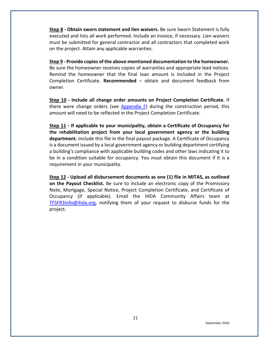**Step 8 - Obtain sworn statement and lien waivers.** Be sure Sworn Statement is fully executed and lists all work performed. Include an invoice, if necessary. Lien waivers must be submitted for general contractor and all contractors that completed work on the project. Attain any applicable warranties.

**Step 9 - Provide copies of the above-mentioned documentation to the homeowner.** Be sure the homeowner receives copies of warranties and appropriate lead notices. Remind the homeowner that the final loan amount is included in the Project Completion Certificate. **Recommended** – obtain and document feedback from owner.

**Step 10 - Include all change order amounts on Project Completion Certificate.** If there were change orders (see  $Appendix F$ ) during the construction period, this amount will need to be reflected in the Project Completion Certificate.

**Step 11 - If applicable to your municipality, obtain a Certificate of Occupancy for the rehabilitation project from your local government agency or the building department.** Include this file in the final payout package. A Certificate of Occupancy is a document issued by a local government agency or building department certifying a building's compliance with applicable building codes and other laws indicating it to be in a condition suitable for occupancy. You must obtain this document if it is a requirement in your municipality.

**Step 12 - Upload all disbursement documents as one (1) file in MITAS, as outlined on the Payout Checklist.** Be sure to include an electronic copy of the Promissory Note, Mortgage, Special Notice, Project Completion Certificate, and Certificate of Occupancy (if applicable). Email the IHDA Community Affairs team at [TFSFR3info@ihda.org,](mailto:TFSFR3info@ihda.org) notifying them of your request to disburse funds for the project.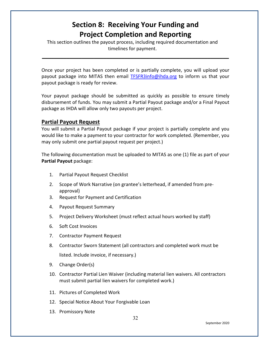# **Section 8: Receiving Your Funding and Project Completion and Reporting**

<span id="page-32-0"></span>This section outlines the payout process, including required documentation and timelines for payment.

Once your project has been completed or is partially complete, you will upload your payout package into MITAS then email [TFSFR3info@ihda.org](mailto:TFSFR3info@ihda.org) to inform us that your payout package is ready for review.

**\_\_\_\_\_\_\_\_\_\_\_\_\_\_\_\_\_\_\_\_\_\_\_\_\_\_\_\_\_\_\_\_\_\_\_\_\_\_\_\_\_\_\_\_\_\_\_\_\_\_\_\_\_\_\_\_\_\_\_\_\_**

Your payout package should be submitted as quickly as possible to ensure timely disbursement of funds. You may submit a Partial Payout package and/or a Final Payout package as IHDA will allow only two payouts per project.

### <span id="page-32-1"></span>**Partial Payout Request**

You will submit a Partial Payout package if your project is partially complete and you would like to make a payment to your contractor for work completed. (Remember, you may only submit one partial payout request per project.)

The following documentation must be uploaded to MITAS as one (1) file as part of your **Partial Payout** package:

- 1. Partial Payout Request Checklist
- 2. Scope of Work Narrative (on grantee's letterhead, if amended from preapproval)
- 3. Request for Payment and Certification
- 4. Payout Request Summary
- 5. Project Delivery Worksheet (must reflect actual hours worked by staff)
- 6. Soft Cost Invoices
- 7. Contractor Payment Request
- 8. Contractor Sworn Statement (all contractors and completed work must be listed. Include invoice, if necessary.)
- 9. Change Order(s)
- 10. Contractor Partial Lien Waiver (including material lien waivers. All contractors must submit partial lien waivers for completed work.)
- 11. Pictures of Completed Work
- 12. Special Notice About Your Forgivable Loan
- 13. Promissory Note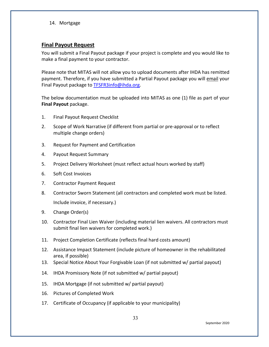14. Mortgage

### <span id="page-33-0"></span>**Final Payout Request**

You will submit a Final Payout package if your project is complete and you would like to make a final payment to your contractor.

Please note that MITAS will not allow you to upload documents after IHDA has remitted payment. Therefore, if you have submitted a Partial Payout package you will email your Final Payout package to [TFSFR3info@ihda.org.](mailto:TFSFR3info@ihda.org)

The below documentation must be uploaded into MITAS as one (1) file as part of your **Final Payout** package.

- 1. Final Payout Request Checklist
- 2. Scope of Work Narrative (if different from partial or pre-approval or to reflect multiple change orders)
- 3. Request for Payment and Certification
- 4. Payout Request Summary
- 5. Project Delivery Worksheet (must reflect actual hours worked by staff)
- 6. Soft Cost Invoices
- 7. Contractor Payment Request
- 8. Contractor Sworn Statement (all contractors and completed work must be listed. Include invoice, if necessary.)
- 9. Change Order(s)
- 10. Contractor Final Lien Waiver (including material lien waivers. All contractors must submit final lien waivers for completed work.)
- 11. Project Completion Certificate (reflects final hard costs amount)
- 12. Assistance Impact Statement (include picture of homeowner in the rehabilitated area, if possible)
- 13. Special Notice About Your Forgivable Loan (if not submitted w/ partial payout)
- 14. IHDA Promissory Note (if not submitted w/ partial payout)
- 15. IHDA Mortgage (if not submitted w/ partial payout)
- 16. Pictures of Completed Work
- 17. Certificate of Occupancy (if applicable to your municipality)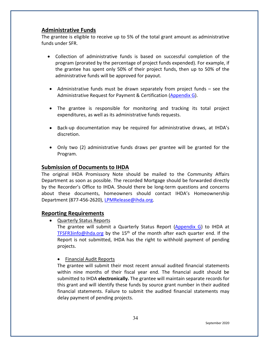# <span id="page-34-0"></span>**Administrative Funds**

The grantee is eligible to receive up to 5% of the total grant amount as administrative funds under SFR.

- Collection of administrative funds is based on successful completion of the program (prorated by the percentage of project funds expended). For example, if the grantee has spent only 50% of their project funds, then up to 50% of the administrative funds will be approved for payout.
- Administrative funds must be drawn separately from project funds see the Administrative Request for Payment & Certification [\(Appendix G\)](https://df7qosnywqs6g.cloudfront.net/wp-content/uploads/2021/03/Appendix-G-Summary-and-Payout-Forms-2.zip).
- The grantee is responsible for monitoring and tracking its total project expenditures, as well as its administrative funds requests.
- Back-up documentation may be required for administrative draws, at IHDA's discretion.
- Only two (2) administrative funds draws per grantee will be granted for the Program.

# <span id="page-34-1"></span>**Submission of Documents to IHDA**

The original IHDA Promissory Note should be mailed to the Community Affairs Department as soon as possible. The recorded Mortgage should be forwarded directly by the Recorder's Office to IHDA. Should there be long-term questions and concerns about these documents, homeowners should contact IHDA's Homeownership Department (877-456-2620), [LPMRelease@ihda.org.](mailto:LPMRelease@ihda.org)

## **Reporting Requirements**

• Quarterly Status Reports

The grantee will submit a Quarterly Status Report [\(Appendix G\)](https://df7qosnywqs6g.cloudfront.net/wp-content/uploads/2021/03/Appendix-G-Summary-and-Payout-Forms-2.zip) to IHDA at [TFSFR3info@ihda.org](mailto:TFSFR3info@ihda.org) by the 15<sup>th</sup> of the month after each quarter end. If the Report is not submitted, IHDA has the right to withhold payment of pending projects.

• Financial Audit Reports

The grantee will submit their most recent annual audited financial statements within nine months of their fiscal year end. The financial audit should be submitted to IHDA **electronically.** The grantee will maintain separate records for this grant and will identify these funds by source grant number in their audited financial statements. Failure to submit the audited financial statements may delay payment of pending projects.